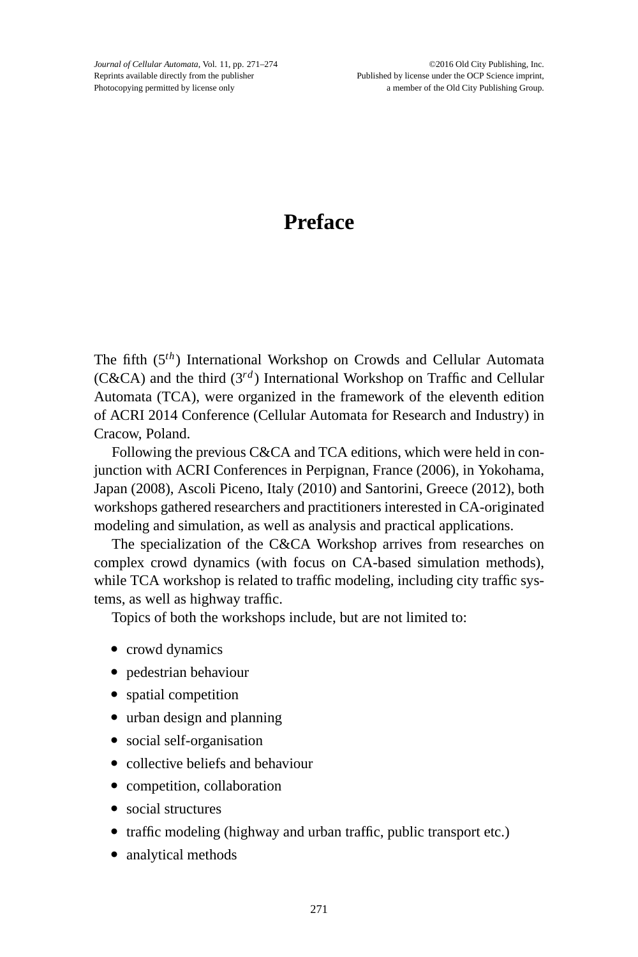*Journal of Cellular Automata*, Vol. 11, pp. 271–274 ©2016 Old City Publishing, Inc. Reprints available directly from the publisher Published by license under the OCP Science imprint, Photocopying permitted by license only a member of the Old City Publishing Group.

## **Preface**

The fifth (5*th*) International Workshop on Crowds and Cellular Automata (C&CA) and the third  $(3^{rd})$  International Workshop on Traffic and Cellular Automata (TCA), were organized in the framework of the eleventh edition of ACRI 2014 Conference (Cellular Automata for Research and Industry) in Cracow, Poland.

Following the previous C&CA and TCA editions, which were held in conjunction with ACRI Conferences in Perpignan, France (2006), in Yokohama, Japan (2008), Ascoli Piceno, Italy (2010) and Santorini, Greece (2012), both workshops gathered researchers and practitioners interested in CA-originated modeling and simulation, as well as analysis and practical applications.

The specialization of the C&CA Workshop arrives from researches on complex crowd dynamics (with focus on CA-based simulation methods), while TCA workshop is related to traffic modeling, including city traffic systems, as well as highway traffic.

Topics of both the workshops include, but are not limited to:

- crowd dynamics
- pedestrian behaviour
- spatial competition
- urban design and planning
- social self-organisation
- collective beliefs and behaviour
- competition, collaboration
- social structures
- traffic modeling (highway and urban traffic, public transport etc.)
- analytical methods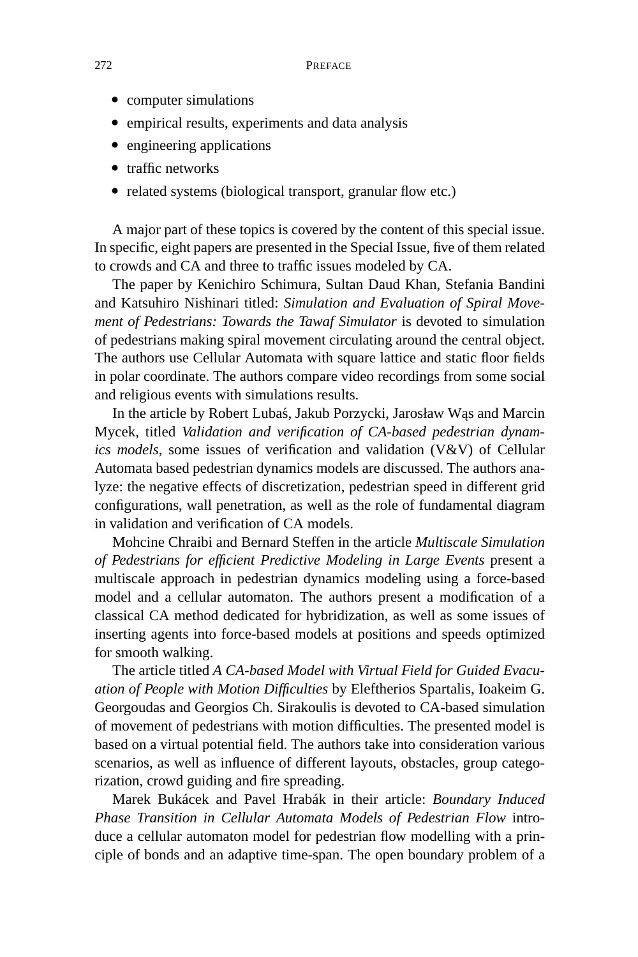- computer simulations
- empirical results, experiments and data analysis
- engineering applications
- traffic networks
- related systems (biological transport, granular flow etc.)

A major part of these topics is covered by the content of this special issue. In specific, eight papers are presented in the Special Issue, five of them related to crowds and CA and three to traffic issues modeled by CA.

The paper by Kenichiro Schimura, Sultan Daud Khan, Stefania Bandini and Katsuhiro Nishinari titled: *Simulation and Evaluation of Spiral Movement of Pedestrians: Towards the Tawaf Simulator* is devoted to simulation of pedestrians making spiral movement circulating around the central object. The authors use Cellular Automata with square lattice and static floor fields in polar coordinate. The authors compare video recordings from some social and religious events with simulations results.

In the article by Robert Lubas, Jakub Porzycki, Jarosław Wąs and Marcin Mycek, titled *Validation and verification of CA-based pedestrian dynamics models,* some issues of verification and validation (V&V) of Cellular Automata based pedestrian dynamics models are discussed. The authors analyze: the negative effects of discretization, pedestrian speed in different grid configurations, wall penetration, as well as the role of fundamental diagram in validation and verification of CA models.

Mohcine Chraibi and Bernard Steffen in the article *Multiscale Simulation of Pedestrians for efficient Predictive Modeling in Large Events* present a multiscale approach in pedestrian dynamics modeling using a force-based model and a cellular automaton. The authors present a modification of a classical CA method dedicated for hybridization, as well as some issues of inserting agents into force-based models at positions and speeds optimized for smooth walking.

The article titled *A CA-based Model with Virtual Field for Guided Evacuation of People with Motion Difficulties* by Eleftherios Spartalis, Ioakeim G. Georgoudas and Georgios Ch. Sirakoulis is devoted to CA-based simulation of movement of pedestrians with motion difficulties. The presented model is based on a virtual potential field. The authors take into consideration various scenarios, as well as influence of different layouts, obstacles, group categorization, crowd guiding and fire spreading.

Marek Bukácek and Pavel Hrabák in their article: *Boundary Induced Phase Transition in Cellular Automata Models of Pedestrian Flow* introduce a cellular automaton model for pedestrian flow modelling with a principle of bonds and an adaptive time-span. The open boundary problem of a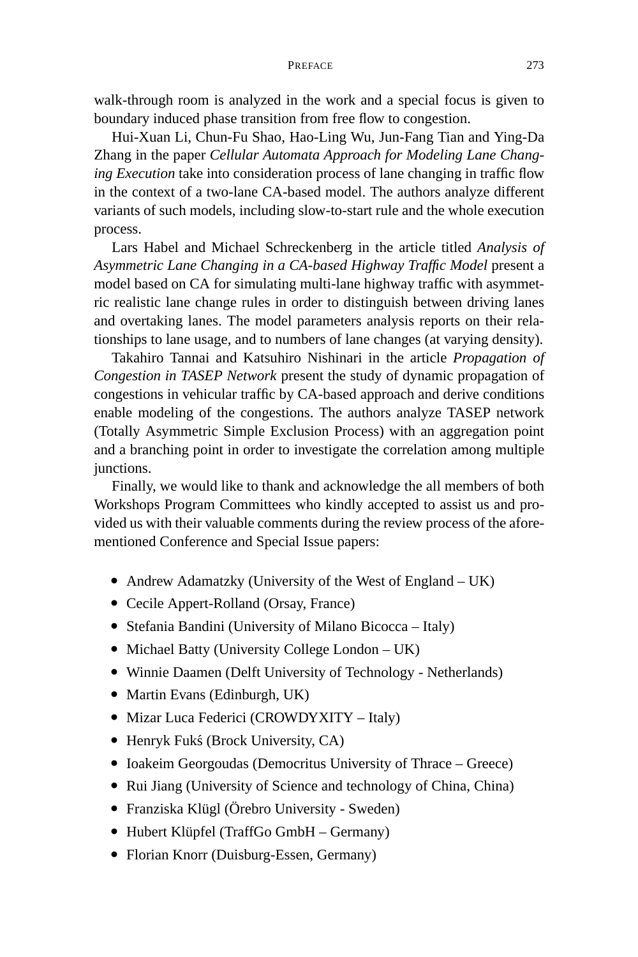## PREFACE 273

walk-through room is analyzed in the work and a special focus is given to boundary induced phase transition from free flow to congestion.

Hui-Xuan Li, Chun-Fu Shao, Hao-Ling Wu, Jun-Fang Tian and Ying-Da Zhang in the paper *Cellular Automata Approach for Modeling Lane Changing Execution* take into consideration process of lane changing in traffic flow in the context of a two-lane CA-based model. The authors analyze different variants of such models, including slow-to-start rule and the whole execution process.

Lars Habel and Michael Schreckenberg in the article titled *Analysis of Asymmetric Lane Changing in a CA-based Highway Traffic Model* present a model based on CA for simulating multi-lane highway traffic with asymmetric realistic lane change rules in order to distinguish between driving lanes and overtaking lanes. The model parameters analysis reports on their relationships to lane usage, and to numbers of lane changes (at varying density).

Takahiro Tannai and Katsuhiro Nishinari in the article *Propagation of Congestion in TASEP Network* present the study of dynamic propagation of congestions in vehicular traffic by CA-based approach and derive conditions enable modeling of the congestions. The authors analyze TASEP network (Totally Asymmetric Simple Exclusion Process) with an aggregation point and a branching point in order to investigate the correlation among multiple junctions.

Finally, we would like to thank and acknowledge the all members of both Workshops Program Committees who kindly accepted to assist us and provided us with their valuable comments during the review process of the aforementioned Conference and Special Issue papers:

- Andrew Adamatzky (University of the West of England UK)
- Cecile Appert-Rolland (Orsay, France)
- Stefania Bandini (University of Milano Bicocca Italy)
- Michael Batty (University College London UK)
- Winnie Daamen (Delft University of Technology Netherlands)
- Martin Evans (Edinburgh, UK)
- Mizar Luca Federici (CROWDYXITY Italy)
- Henryk Fukś (Brock University, CA)
- Ioakeim Georgoudas (Democritus University of Thrace Greece)
- Rui Jiang (University of Science and technology of China, China)
- Franziska Klügl (Örebro University Sweden)
- Hubert Klüpfel (TraffGo GmbH Germany)
- Florian Knorr (Duisburg-Essen, Germany)